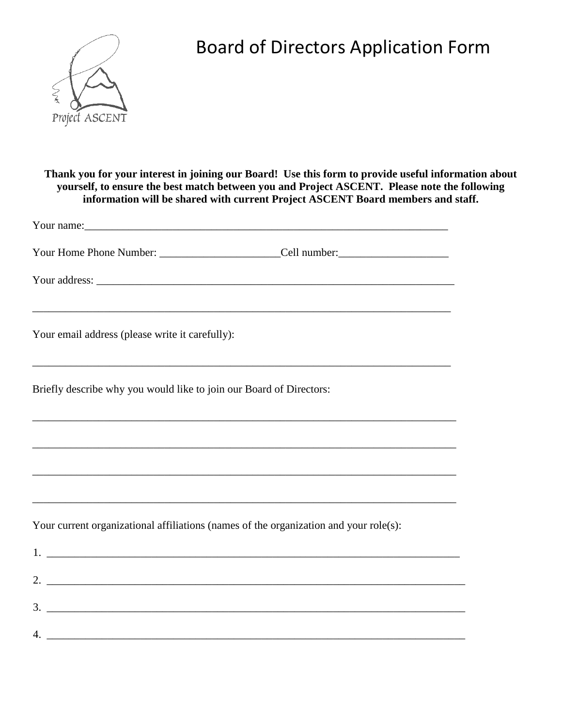

## Board of Directors Application Form

**Thank you for your interest in joining our Board! Use this form to provide useful information about yourself, to ensure the best match between you and Project ASCENT. Please note the following information will be shared with current Project ASCENT Board members and staff.** 

| Your email address (please write it carefully):<br><u> 1989 - Johann Stoff, deutscher Stoffen und der Stoffen und der Stoffen und der Stoffen und der Stoffen und de</u> |                                                                                  |
|--------------------------------------------------------------------------------------------------------------------------------------------------------------------------|----------------------------------------------------------------------------------|
| Briefly describe why you would like to join our Board of Directors:                                                                                                      |                                                                                  |
|                                                                                                                                                                          | ,我们也不会有什么。""我们的人,我们也不会有什么?""我们的人,我们也不会有什么?""我们的人,我们也不会有什么?""我们的人,我们也不会有什么?""我们的人 |
|                                                                                                                                                                          |                                                                                  |
| ,我们也不会有什么。""我们的人,我们也不会有什么?""我们的人,我们也不会有什么?""我们的人,我们也不会有什么?""我们的人,我们也不会有什么?""我们的人                                                                                         |                                                                                  |
| Your current organizational affiliations (names of the organization and your role(s):                                                                                    |                                                                                  |
| $1.$ $\overline{\phantom{a}}$                                                                                                                                            |                                                                                  |
|                                                                                                                                                                          |                                                                                  |
| $3.$ $\overline{\phantom{a}}$                                                                                                                                            |                                                                                  |
| $4.$ $\overline{\phantom{a}}$                                                                                                                                            |                                                                                  |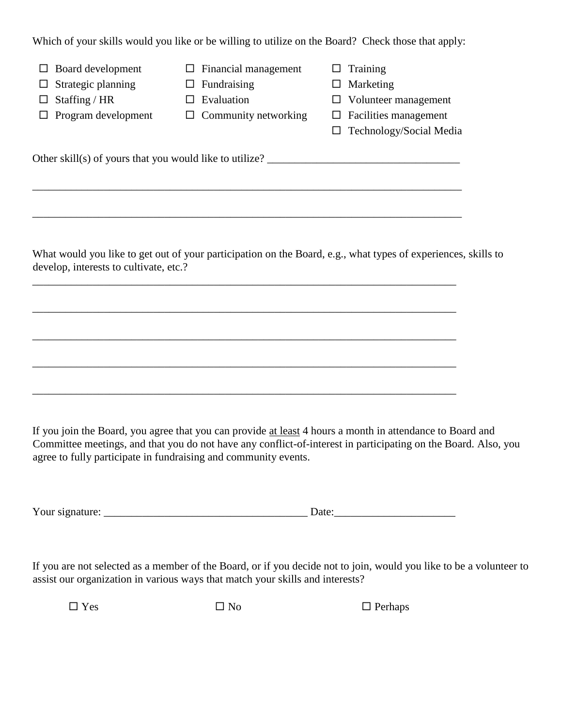Which of your skills would you like or be willing to utilize on the Board? Check those that apply:

| Board development<br>⊔<br>Strategic planning<br>ப<br>Staffing / HR<br>ப<br>$\Box$ Program development | Financial management<br>ப<br>Fundraising<br>ப<br>Evaluation<br>$\perp$<br>$\Box$ Community networking | Training<br>Marketing<br>ப<br>Volunteer management<br>Facilities management<br>ப<br>Technology/Social Media   |
|-------------------------------------------------------------------------------------------------------|-------------------------------------------------------------------------------------------------------|---------------------------------------------------------------------------------------------------------------|
| Other skill(s) of yours that you would like to utilize? $\frac{ }{ }$                                 |                                                                                                       |                                                                                                               |
|                                                                                                       |                                                                                                       |                                                                                                               |
|                                                                                                       |                                                                                                       |                                                                                                               |
| develop, interests to cultivate, etc.?                                                                |                                                                                                       | What would you like to get out of your participation on the Board, e.g., what types of experiences, skills to |

\_\_\_\_\_\_\_\_\_\_\_\_\_\_\_\_\_\_\_\_\_\_\_\_\_\_\_\_\_\_\_\_\_\_\_\_\_\_\_\_\_\_\_\_\_\_\_\_\_\_\_\_\_\_\_\_\_\_\_\_\_\_\_\_\_\_\_\_\_\_\_\_\_\_\_\_\_

\_\_\_\_\_\_\_\_\_\_\_\_\_\_\_\_\_\_\_\_\_\_\_\_\_\_\_\_\_\_\_\_\_\_\_\_\_\_\_\_\_\_\_\_\_\_\_\_\_\_\_\_\_\_\_\_\_\_\_\_\_\_\_\_\_\_\_\_\_\_\_\_\_\_\_\_\_

\_\_\_\_\_\_\_\_\_\_\_\_\_\_\_\_\_\_\_\_\_\_\_\_\_\_\_\_\_\_\_\_\_\_\_\_\_\_\_\_\_\_\_\_\_\_\_\_\_\_\_\_\_\_\_\_\_\_\_\_\_\_\_\_\_\_\_\_\_\_\_\_\_\_\_\_\_

If you join the Board, you agree that you can provide at least 4 hours a month in attendance to Board and Committee meetings, and that you do not have any conflict-of-interest in participating on the Board. Also, you agree to fully participate in fundraising and community events.

Your signature: \_\_\_\_\_\_\_\_\_\_\_\_\_\_\_\_\_\_\_\_\_\_\_\_\_\_\_\_\_\_\_\_\_\_\_\_\_ Date:\_\_\_\_\_\_\_\_\_\_\_\_\_\_\_\_\_\_\_\_\_\_

If you are not selected as a member of the Board, or if you decide not to join, would you like to be a volunteer to assist our organization in various ways that match your skills and interests?

 $\Box$  Yes  $\Box$  No  $\Box$  Perhaps